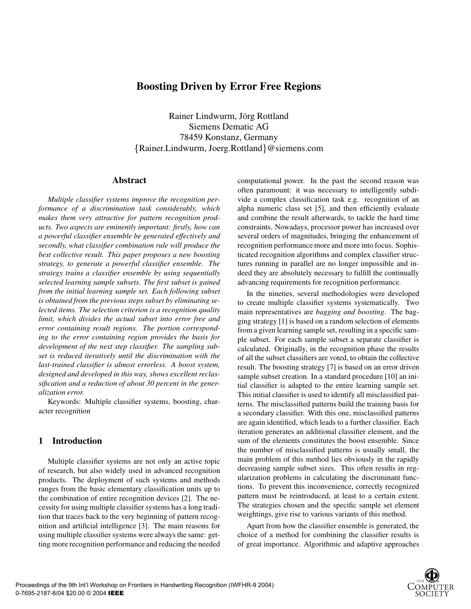# **Boosting Driven by Error Free Regions**

Rainer Lindwurm, Jörg Rottland Siemens Dematic AG 78459 Konstanz, Germany Rainer.Lindwurm, Joerg.Rottland @siemens.com

#### **Abstract**

*Multiple classifier systems improve the recognition performance of a discrimination task considerably, which makes them very attractive for pattern recognition products. Two aspects are eminently important: firstly, how can a powerful classifier ensemble be generated effectively and secondly, what classifier combination rule will produce the best collective result. This paper proposes a new boosting strategy, to generate a powerful classifier ensemble. The strategy trains a classifier ensemble by using sequentially selected learning sample subsets. The first subset is gained from the initial learning sample set. Each following subset is obtained from the previous steps subset by eliminating selected items. The selection criterion is a recognition quality limit, which divides the actual subset into error free and error containing result regions. The portion corresponding to the error containing region provides the basis for development of the next step classifier. The sampling subset is reduced iteratively until the discrimination with the last-trained classifier is almost errorless. A boost system, designed and developed in this way, shows excellent reclassification and a reduction of about 30 percent in the generalization error.*

Keywords: Multiple classifier systems, boosting, character recognition

### **1 Introduction**

Multiple classifier systems are not only an active topic of research, but also widely used in advanced recognition products. The deployment of such systems and methods ranges from the basic elementary classification units up to the combination of entire recognition devices [2]. The necessity for using multiple classifier systems has a long tradition that traces back to the very beginning of pattern recognition and artificial intelligence [3]. The main reasons for using multiple classifier systems were always the same: getting more recognition performance and reducing the needed computational power. In the past the second reason was often paramount: it was necessary to intelligently subdivide a complex classification task e.g. recognition of an alpha numeric class set [5], and then efficiently evaluate and combine the result afterwards, to tackle the hard time constraints. Nowadays, processor power has increased over several orders of magnitudes, bringing the enhancement of recognition performance more and more into focus. Sophisticated recognition algorithms and complex classifier structures running in parallel are no longer impossible and indeed they are absolutely necessary to fulfill the continually advancing requirements for recognition performance.

In the nineties, several methodologies were developed to create multiple classifier systems systematically. Two main representatives are *bagging and boosting*. The bagging strategy [1] is based on a random selection of elements from a given learning sample set, resulting in a specific sample subset. For each sample subset a separate classifier is calculated. Originally, in the recognition phase the results of all the subset classifiers are voted, to obtain the collective result. The boosting strategy [7] is based on an error driven sample subset creation. In a standard procedure [10] an initial classifier is adapted to the entire learning sample set. This initial classifier is used to identify all misclassified patterns. The misclassified patterns build the training basis for a secondary classifier. With this one, misclassified patterns are again identified, which leads to a further classifier. Each iteration generates an additional classifier element, and the sum of the elements constitutes the boost ensemble. Since the number of misclassified patterns is usually small, the main problem of this method lies obviously in the rapidly decreasing sample subset sizes. This often results in regularization problems in calculating the discriminant functions. To prevent this inconvenience, correctly recognized pattern must be reintroduced, at least to a certain extent. The strategies chosen and the specific sample set element weightings, give rise to various variants of this method.

Apart from how the classifier ensemble is generated, the choice of a method for combining the classifier results is of great importance. Algorithmic and adaptive approaches

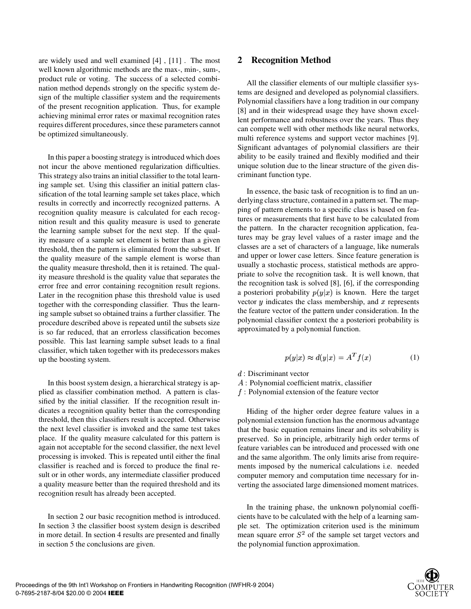are widely used and well examined [4] , [11] . The most well known algorithmic methods are the max-, min-, sum-, product rule or voting. The success of a selected combination method depends strongly on the specific system design of the multiple classifier system and the requirements of the present recognition application. Thus, for example achieving minimal error rates or maximal recognition rates requires different procedures, since these parameters cannot be optimized simultaneously.

In this paper a boosting strategy is introduced which does not incur the above mentioned regularization difficulties. This strategy also trains an initial classifier to the total learning sample set. Using this classifier an initial pattern classification of the total learning sample set takes place, which results in correctly and incorrectly recognized patterns. A recognition quality measure is calculated for each recognition result and this quality measure is used to generate the learning sample subset for the next step. If the quality measure of a sample set element is better than a given threshold, then the pattern is eliminated from the subset. If the quality measure of the sample element is worse than the quality measure threshold, then it is retained. The quality measure threshold is the quality value that separates the error free and error containing recognition result regions. Later in the recognition phase this threshold value is used together with the corresponding classifier. Thus the learning sample subset so obtained trains a further classifier. The procedure described above is repeated until the subsets size is so far reduced, that an errorless classification becomes possible. This last learning sample subset leads to a final classifier, which taken together with its predecessors makes up the boosting system.

In this boost system design, a hierarchical strategy is applied as classifier combination method. A pattern is classified by the initial classifier. If the recognition result indicates a recognition quality better than the corresponding threshold, then this classifiers result is accepted. Otherwise the next level classifier is invoked and the same test takes place. If the quality measure calculated for this pattern is again not acceptable for the second classifier, the next level processing is invoked. This is repeated until either the final classifier is reached and is forced to produce the final result or in other words, any intermediate classifier produced a quality measure better than the required threshold and its recognition result has already been accepted.

In section 2 our basic recognition method is introduced. In section 3 the classifier boost system design is described in more detail. In section 4 results are presented and finally in section 5 the conclusions are given.

#### **2 Recognition Method**

All the classifier elements of our multiple classifier systems are designed and developed as polynomial classifiers. Polynomial classifiers have a long tradition in our company [8] and in their widespread usage they have shown excellent performance and robustness over the years. Thus they can compete well with other methods like neural networks, multi reference systems and support vector machines [9]. Significant advantages of polynomial classifiers are their ability to be easily trained and flexibly modified and their unique solution due to the linear structure of the given discriminant function type.

In essence, the basic task of recognition is to find an underlying class structure, contained in a pattern set. The mapping of pattern elements to a specific class is based on features or measurements that first have to be calculated from the pattern. In the character recognition application, features may be gray level values of a raster image and the classes are a set of characters of a language, like numerals and upper or lower case letters. Since feature generation is usually a stochastic process, statistical methods are appropriate to solve the recognition task. It is well known, that the recognition task is solved [8], [6], if the corresponding a posteriori probability  $p(y|x)$  is known. Here the target vector  $y$  indicates the class membership, and  $x$  represents the feature vector of the pattern under consideration. In the polynomial classifier context the a posteriori probability is approximated by a polynomial function.

$$
p(y|x) \approx d(y|x) = A^T f(x) \tag{1}
$$

: Discriminant vector

 $f$ : Polynomial extension of the feature vector

Hiding of the higher order degree feature values in a polynomial extension function has the enormous advantage that the basic equation remains linear and its solvability is preserved. So in principle, arbitrarily high order terms of feature variables can be introduced and processed with one and the same algorithm. The only limits arise from requirements imposed by the numerical calculations i.e. needed computer memory and computation time necessary for inverting the associated large dimensioned moment matrices.

In the training phase, the unknown polynomial coefficients have to be calculated with the help of a learning sample set. The optimization criterion used is the minimum mean square error  $S^2$  of the sample set target vectors and the polynomial function approximation.

: Polynomial coefficient matrix, classifier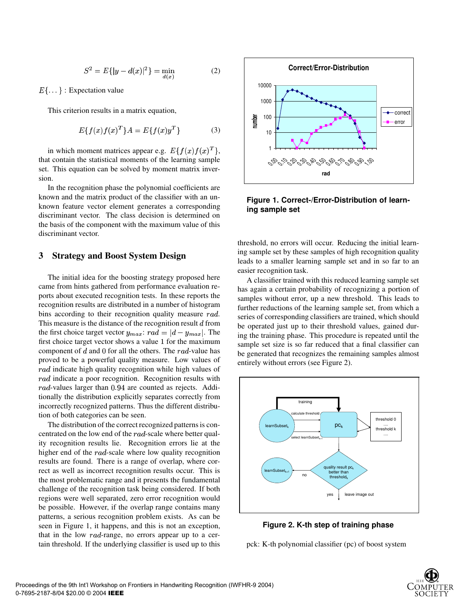$$
S^{2} = E\{|y - d(x)|^{2}\} = \min_{d(x)} \tag{2}
$$

 $E\{\ldots\}$ : Expectation value

This criterion results in a matrix equation,

$$
E\{f(x)f(x)^{T}\}A = E\{f(x)y^{T}\}
$$
 (3)

in which moment matrices appear e.g.  $E\{f(x)f(x)^T\}$ , that contain the statistical moments of the learning sample set. This equation can be solved by moment matrix inversion.

In the recognition phase the polynomial coefficients are known and the matrix product of the classifier with an unknown feature vector element generates a corresponding discriminant vector. The class decision is determined on the basis of the component with the maximum value of this discriminant vector.

#### **3 Strategy and Boost System Design**

The initial idea for the boosting strategy proposed here came from hints gathered from performance evaluation reports about executed recognition tests. In these reports the recognition results are distributed in a number of histogram bins according to their recognition quality measure  $rad$ . This measure is the distance of the recognition result  $d$  from the first choice target vector  $y_{max}$ :  $rad = |d - y_{max}|$ . The first choice target vector shows a value 1 for the maximum component of  $d$  and  $0$  for all the others. The  $rad$ -value has proved to be a powerful quality measure. Low values of  $rad$  indicate high quality recognition while high values of  $rad$  indicate a poor recognition. Recognition results with  $rad$ -values larger than  $0.94$  are counted as rejects. Additionally the distribution explicitly separates correctly from incorrectly recognized patterns. Thus the different distribution of both categories can be seen.

The distribution of the correct recognized patterns is concentrated on the low end of the  $rad$ -scale where better quality recognition results lie. Recognition errors lie at the higher end of the  $rad$ -scale where low quality recognition results are found. There is a range of overlap, where correct as well as incorrect recognition results occur. This is the most problematic range and it presents the fundamental challenge of the recognition task being considered. If both regions were well separated, zero error recognition would be possible. However, if the overlap range contains many patterns, a serious recognition problem exists. As can be seen in Figure 1, it happens, and this is not an exception, that in the low  $rad$ -range, no errors appear up to a certain threshold. If the underlying classifier is used up to this



**Figure 1. Correct-/Error-Distribution of learning sample set**

threshold, no errors will occur. Reducing the initial learning sample set by these samples of high recognition quality leads to a smaller learning sample set and in so far to an easier recognition task.

A classifier trained with this reduced learning sample set has again a certain probability of recognizing a portion of samples without error, up a new threshold. This leads to further reductions of the learning sample set, from which a series of corresponding classifiers are trained, which should be operated just up to their threshold values, gained during the training phase. This procedure is repeated until the sample set size is so far reduced that a final classifier can be generated that recognizes the remaining samples almost entirely without errors (see Figure 2).



**Figure 2. K-th step of training phase**

pck: K-th polynomial classifier (pc) of boost system

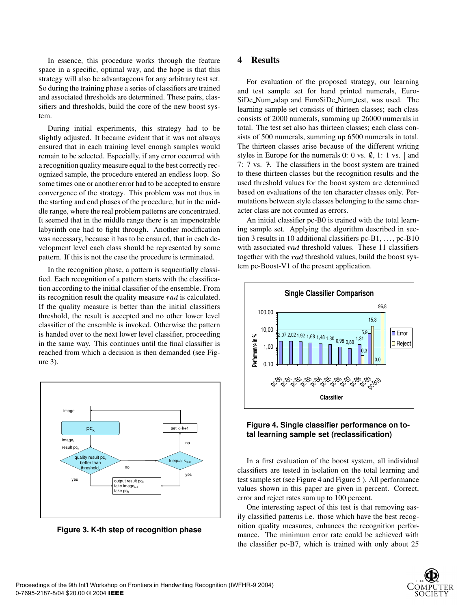In essence, this procedure works through the feature space in a specific, optimal way, and the hope is that this strategy will also be advantageous for any arbitrary test set. So during the training phase a series of classifiers are trained and associated thresholds are determined. These pairs, classifiers and thresholds, build the core of the new boost system.

During initial experiments, this strategy had to be slightly adjusted. It became evident that it was not always ensured that in each training level enough samples would remain to be selected. Especially, if any error occurred with a recognition quality measure equal to the best correctly recognized sample, the procedure entered an endless loop. So some times one or another error had to be accepted to ensure convergence of the strategy. This problem was not thus in the starting and end phases of the procedure, but in the middle range, where the real problem patterns are concentrated. It seemed that in the middle range there is an impenetrable labyrinth one had to fight through. Another modification was necessary, because it has to be ensured, that in each development level each class should be represented by some pattern. If this is not the case the procedure is terminated.

In the recognition phase, a pattern is sequentially classified. Each recognition of a pattern starts with the classification according to the initial classifier of the ensemble. From its recognition result the quality measure  $rad$  is calculated. If the quality measure is better than the initial classifiers threshold, the result is accepted and no other lower level classifier of the ensemble is invoked. Otherwise the pattern is handed over to the next lower level classifier, proceeding in the same way. This continues until the final classifier is reached from which a decision is then demanded (see Figure 3).





#### **4 Results**

For evaluation of the proposed strategy, our learning and test sample set for hand printed numerals, Euro-SiDe Num adap and EuroSiDe Num test, was used. The learning sample set consists of thirteen classes; each class consists of 2000 numerals, summing up 26000 numerals in total. The test set also has thirteen classes; each class consists of 500 numerals, summing up 6500 numerals in total. The thirteen classes arise because of the different writing styles in Europe for the numerals 0: 0 vs.  $\emptyset$ , 1: 1 vs. | and 7: 7 vs. 7. The classifiers in the boost system are trained to these thirteen classes but the recognition results and the used threshold values for the boost system are determined based on evaluations of the ten character classes only. Permutations between style classes belonging to the same character class are not counted as errors.

An initial classifier pc-B0 is trained with the total learning sample set. Applying the algorithm described in section 3 results in 10 additional classifiers pc-B1, . . . , pc-B10 with associated  $rad$  threshold values. These 11 classifiers together with the  $rad$  threshold values, build the boost system pc-Boost-V1 of the present application.

![](_page_3_Figure_8.jpeg)

#### **Figure 4. Single classifier performance on total learning sample set (reclassification)**

In a first evaluation of the boost system, all individual classifiers are tested in isolation on the total learning and test sample set (see Figure 4 and Figure 5 ). All performance values shown in this paper are given in percent. Correct, error and reject rates sum up to 100 percent.

One interesting aspect of this test is that removing easily classified patterns i.e. those which have the best recognition quality measures, enhances the recognition performance. The minimum error rate could be achieved with the classifier pc-B7, which is trained with only about 25

![](_page_3_Picture_12.jpeg)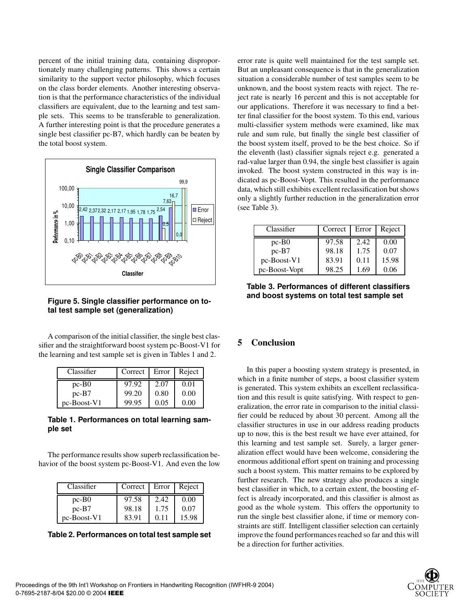percent of the initial training data, containing disproportionately many challenging patterns. This shows a certain similarity to the support vector philosophy, which focuses on the class border elements. Another interesting observation is that the performance characteristics of the individual classifiers are equivalent, due to the learning and test sample sets. This seems to be transferable to generalization. A further interesting point is that the procedure generates a single best classifier pc-B7, which hardly can be beaten by the total boost system.

![](_page_4_Figure_1.jpeg)

**Figure 5. Single classifier performance on total test sample set (generalization)**

A comparison of the initial classifier, the single best classifier and the straightforward boost system pc-Boost-V1 for the learning and test sample set is given in Tables 1 and 2.

| Classifier  | Correct |      | Error Reject |
|-------------|---------|------|--------------|
| $pc-B0$     | 97.92   | 2.07 | 0.01         |
| $pc-B7$     | 99.20   | 0.80 | 0.00         |
| pc-Boost-V1 | 99.95   | 0.05 | 0 U U        |

#### **Table 1. Performances on total learning sample set**

The performance results show superb reclassification behavior of the boost system pc-Boost-V1. And even the low

| Classifier     | Correct | Error | Reject |
|----------------|---------|-------|--------|
| $pc-B0$        | 97.58   | 2.42  | 0.00   |
| $pc-B7$        | 98.18   | 1.75  | 0.07   |
| $pc$ -Boost-V1 | 83.91   | 0.11  | 15.98  |

**Table 2. Performances on total test sample set**

error rate is quite well maintained for the test sample set. But an unpleasant consequence is that in the generalization situation a considerable number of test samples seem to be unknown, and the boost system reacts with reject. The reject rate is nearly 16 percent and this is not acceptable for our applications. Therefore it was necessary to find a better final classifier for the boost system. To this end, various multi-classifier system methods were examined, like max rule and sum rule, but finally the single best classifier of the boost system itself, proved to be the best choice. So if the eleventh (last) classifier signals reject e.g. generated a rad-value larger than 0.94, the single best classifier is again invoked. The boost system constructed in this way is indicated as pc-Boost-Vopt. This resulted in the performance data, which still exhibits excellent reclassification but shows only a slightly further reduction in the generalization error (see Table 3).

| Classifier     | Correct | Error | Reject |
|----------------|---------|-------|--------|
| $pc-B0$        | 97.58   | 2.42  | 0.00   |
| $pc-B7$        | 98.18   | 1.75  | 0.07   |
| $pc$ -Boost-V1 | 83.91   | 0.11  | 15.98  |
| pc-Boost-Vopt  | 98.25   | 1.69  | 0.06   |

**Table 3. Performances of different classifiers and boost systems on total test sample set**

# **5 Conclusion**

In this paper a boosting system strategy is presented, in which in a finite number of steps, a boost classifier system is generated. This system exhibits an excellent reclassification and this result is quite satisfying. With respect to generalization, the error rate in comparison to the initial classifier could be reduced by about 30 percent. Among all the classifier structures in use in our address reading products up to now, this is the best result we have ever attained, for this learning and test sample set. Surely, a larger generalization effect would have been welcome, considering the enormous additional effort spent on training and processing such a boost system. This matter remains to be explored by further research. The new strategy also produces a single best classifier in which, to a certain extent, the boosting effect is already incorporated, and this classifier is almost as good as the whole system. This offers the opportunity to run the single best classifier alone, if time or memory constraints are stiff. Intelligent classifier selection can certainly improve the found performances reached so far and this will be a direction for further activities.

![](_page_4_Picture_14.jpeg)